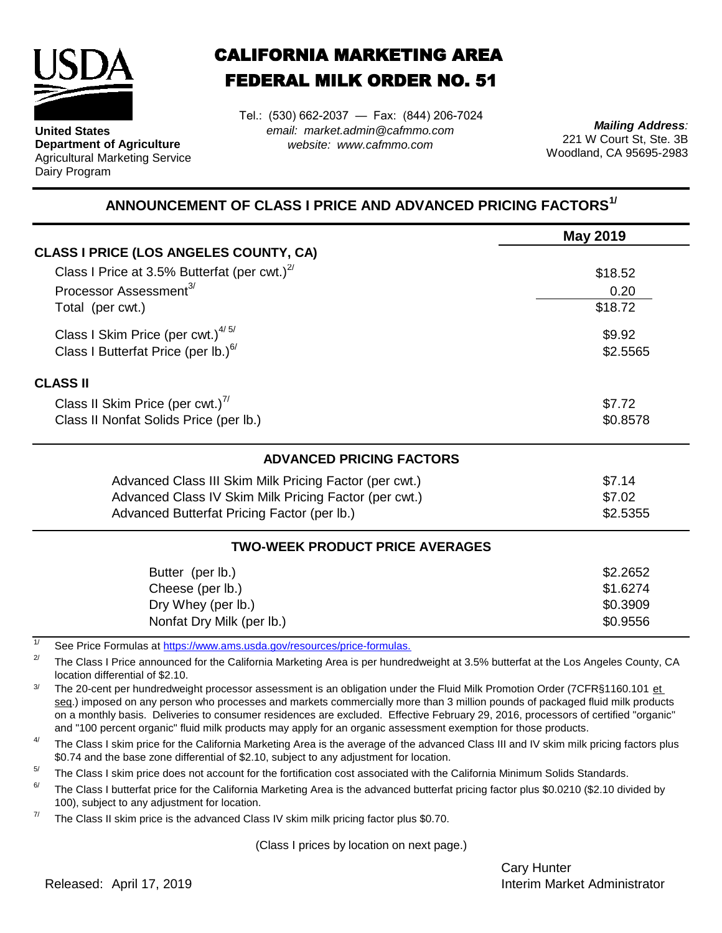

**United States Department of Agriculture** Agricultural Marketing Service Dairy Program

## CALIFORNIA MARKETING AREA FEDERAL MILK ORDER NO. 51

*email: market.admin@cafmmo.com website: www.cafmmo.com* Tel.: (530) 662-2037 — Fax: (844) 206-7024

*Mailing Address:* 221 W Court St, Ste. 3B Woodland, CA 95695-2983

## **ANNOUNCEMENT OF CLASS I PRICE AND ADVANCED PRICING FACTORS1/**

|                                                                          | May 2019 |  |  |
|--------------------------------------------------------------------------|----------|--|--|
| <b>CLASS I PRICE (LOS ANGELES COUNTY, CA)</b>                            |          |  |  |
| Class I Price at 3.5% Butterfat (per cwt.) $2^7$                         | \$18.52  |  |  |
| Processor Assessment <sup>3/</sup>                                       | 0.20     |  |  |
| Total (per cwt.)                                                         | \$18.72  |  |  |
| Class I Skim Price (per cwt.) $4/5/$                                     | \$9.92   |  |  |
| Class I Butterfat Price (per lb.) $^{6/}$                                | \$2.5565 |  |  |
| <b>CLASS II</b>                                                          |          |  |  |
| Class II Skim Price (per cwt.) <sup>7/</sup>                             | \$7.72   |  |  |
| Class II Nonfat Solids Price (per lb.)                                   | \$0.8578 |  |  |
| <b>ADVANCED PRICING FACTORS</b>                                          |          |  |  |
| Advanced Class III Skim Milk Pricing Factor (per cwt.)                   | \$7.14   |  |  |
| Advanced Class IV Skim Milk Pricing Factor (per cwt.)                    | \$7.02   |  |  |
| Advanced Butterfat Pricing Factor (per lb.)                              | \$2.5355 |  |  |
| <b>TWO-WEEK PRODUCT PRICE AVERAGES</b>                                   |          |  |  |
| Butter (per lb.)                                                         | \$2.2652 |  |  |
| Cheese (per lb.)                                                         | \$1.6274 |  |  |
| Dry Whey (per lb.)                                                       | \$0.3909 |  |  |
| Nonfat Dry Milk (per lb.)                                                | \$0.9556 |  |  |
| See Price Formulas at https://www.ams.usda.gov/resources/price-formulas. |          |  |  |

2/ The Class I Price announced for the California Marketing Area is per hundredweight at 3.5% butterfat at the Los Angeles County, CA location differential of \$2.10.

3/ The 20-cent per hundredweight processor assessment is an obligation under the Fluid Milk Promotion Order (7CFR§1160.101 et seg.) imposed on any person who processes and markets commercially more than 3 million pounds of packaged fluid milk products on a monthly basis. Deliveries to consumer residences are excluded. Effective February 29, 2016, processors of certified "organic" and "100 percent organic" fluid milk products may apply for an organic assessment exemption for those products.

4/ The Class I skim price for the California Marketing Area is the average of the advanced Class III and IV skim milk pricing factors plus \$0.74 and the base zone differential of \$2.10, subject to any adjustment for location.

 $5/$ The Class I skim price does not account for the fortification cost associated with the California Minimum Solids Standards.

6/ The Class I butterfat price for the California Marketing Area is the advanced butterfat pricing factor plus \$0.0210 (\$2.10 divided by 100), subject to any adjustment for location.

7/ The Class II skim price is the advanced Class IV skim milk pricing factor plus \$0.70.

(Class I prices by location on next page.)